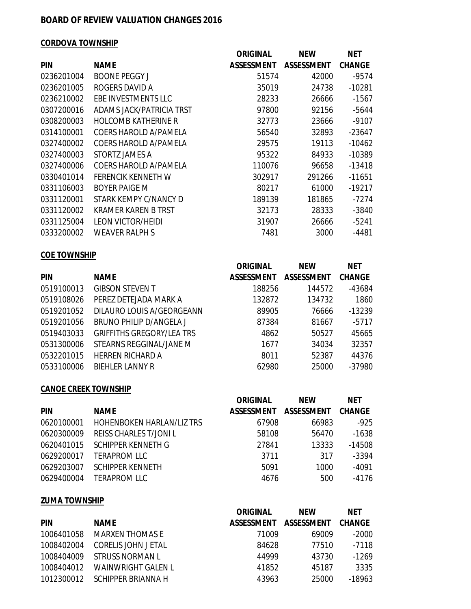## **BOARD OF REVIEW VALUATION CHANGES 2016**

#### **CORDOVA TOWNSHIP**

|            |                            | <b>ORIGINAL</b>   | <b>NEW</b>        | <b>NET</b>    |
|------------|----------------------------|-------------------|-------------------|---------------|
| <b>PIN</b> | <b>NAME</b>                | <b>ASSESSMENT</b> | <b>ASSESSMENT</b> | <b>CHANGE</b> |
| 0236201004 | <b>BOONE PEGGY J</b>       | 51574             | 42000             | $-9574$       |
| 0236201005 | ROGERS DAVID A             | 35019             | 24738             | $-10281$      |
| 0236210002 | EBE INVESTMENTS LLC        | 28233             | 26666             | $-1567$       |
| 0307200016 | ADAMS JACK/PATRICIA TRST   | 97800             | 92156             | $-5644$       |
| 0308200003 | <b>HOLCOMB KATHERINE R</b> | 32773             | 23666             | $-9107$       |
| 0314100001 | COERS HAROLD A/PAMELA      | 56540             | 32893             | $-23647$      |
| 0327400002 | COERS HAROLD A/PAMELA      | 29575             | 19113             | -10462        |
| 0327400003 | STORTZ JAMES A             | 95322             | 84933             | -10389        |
| 0327400006 | COERS HAROLD A/PAMELA      | 110076            | 96658             | $-13418$      |
| 0330401014 | FERENCIK KENNETH W         | 302917            | 291266            | $-11651$      |
| 0331106003 | <b>BOYER PAIGE M</b>       | 80217             | 61000             | -19217        |
| 0331120001 | STARK KEMPY C/NANCY D      | 189139            | 181865            | $-7274$       |
| 0331120002 | <b>KRAMER KAREN B TRST</b> | 32173             | 28333             | $-3840$       |
| 0331125004 | LEON VICTOR/HEIDI          | 31907             | 26666             | $-5241$       |
| 0333200002 | <b>WEAVER RALPH S</b>      | 7481              | 3000              | $-4481$       |
|            |                            |                   |                   |               |

## **COE TOWNSHIP**

|            |                                  | <b>ORIGINAL</b>   | <b>NEW</b>        | <b>NET</b>    |
|------------|----------------------------------|-------------------|-------------------|---------------|
| <b>PIN</b> | <b>NAME</b>                      | <b>ASSESSMENT</b> | <b>ASSESSMENT</b> | <b>CHANGE</b> |
| 0519100013 | <b>GIBSON STEVEN T</b>           | 188256            | 144572            | -43684        |
| 0519108026 | PEREZ DETEJADA MARK A            | 132872            | 134732            | 1860          |
| 0519201052 | DILAURO LOUIS A/GEORGEANN        | 89905             | 76666             | $-13239$      |
| 0519201056 | BRUNO PHILIP D/ANGELA J          | 87384             | 81667             | $-5717$       |
| 0519403033 | <b>GRIFFITHS GREGORY/LEA TRS</b> | 4862              | 50527             | 45665         |
| 0531300006 | STEARNS REGGINAL/JANE M          | 1677              | 34034             | 32357         |
| 0532201015 | <b>HERREN RICHARD A</b>          | 8011              | 52387             | 44376         |
| 0533100006 | <b>BIEHLER LANNY R</b>           | 62980             | 25000             | $-37980$      |

#### **CANOE CREEK TOWNSHIP**

|            |                                  | <b>ORIGINAL</b>   | <b>NEW</b>        | <b>NET</b>    |
|------------|----------------------------------|-------------------|-------------------|---------------|
| <b>PIN</b> | <b>NAME</b>                      | <b>ASSESSMENT</b> | <b>ASSESSMENT</b> | <b>CHANGE</b> |
| 0620100001 | <b>HOHENBOKEN HARLAN/LIZ TRS</b> | 67908             | 66983             | $-925$        |
| 0620300009 | <b>REISS CHARLES T/JONIL</b>     | 58108             | 56470             | $-1638$       |
| 0620401015 | <b>SCHIPPER KENNETH G</b>        | 27841             | 13333             | $-14508$      |
| 0629200017 | <b>TERAPROM LLC</b>              | 3711              | 317               | $-3394$       |
| 0629203007 | <b>SCHIPPER KENNETH</b>          | 5091              | 1000              | $-4091$       |
| 0629400004 | <b>TERAPROM LLC</b>              | 4676              | 500               | $-4176$       |

## **ZUMA TOWNSHIP**

|            |                     | ORIGINAL          | <b>NFW</b>        | <b>NET</b> |
|------------|---------------------|-------------------|-------------------|------------|
| <b>PIN</b> | <b>NAME</b>         | <b>ASSESSMENT</b> | <b>ASSESSMENT</b> | CHANGE     |
| 1006401058 | MARXEN THOMAS E     | 71009             | 69009             | -2000      |
| 1008402004 | CORELIS JOHN J ETAL | 84628             | 77510             | -7118      |
| 1008404009 | STRUSS NORMAN L     | 44999             | 43730             | -1269      |
| 1008404012 | WAINWRIGHT GAI FN L | 41852             | 45187             | 3335       |
| 1012300012 | SCHIPPER BRIANNA H  | 43963             | 25000             | $-18963$   |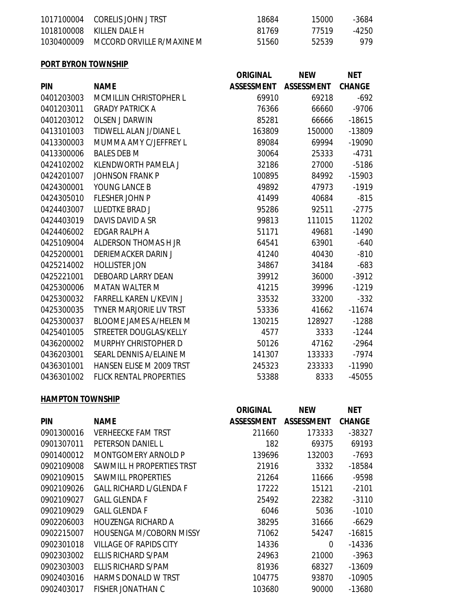| 1017100004 CORELIS JOHN J TRST       | 18684 | 15000 | -3684 |
|--------------------------------------|-------|-------|-------|
| 1018100008 KILLEN DALE H             | 81769 | 77519 | -4250 |
| 1030400009 MCCORD ORVILLE R/MAXINE M | 51560 | 52539 | 979   |

## **PORT BYRON TOWNSHIP**

|            |                                 | <b>ORIGINAL</b>   | <b>NEW</b>        | <b>NET</b>    |
|------------|---------------------------------|-------------------|-------------------|---------------|
| <b>PIN</b> | <b>NAME</b>                     | <b>ASSESSMENT</b> | <b>ASSESSMENT</b> | <b>CHANGE</b> |
| 0401203003 | <b>MCMILLIN CHRISTOPHER L</b>   | 69910             | 69218             | $-692$        |
| 0401203011 | <b>GRADY PATRICK A</b>          | 76366             | 66660             | $-9706$       |
| 0401203012 | <b>OLSEN J DARWIN</b>           | 85281             | 66666             | $-18615$      |
| 0413101003 | TIDWELL ALAN J/DIANE L          | 163809            | 150000            | $-13809$      |
| 0413300003 | MUMMA AMY C/JEFFREY L           | 89084             | 69994             | $-19090$      |
| 0413300006 | <b>BALES DEB M</b>              | 30064             | 25333             | $-4731$       |
| 0424102002 | KLENDWORTH PAMELA J             | 32186             | 27000             | $-5186$       |
| 0424201007 | <b>JOHNSON FRANK P</b>          | 100895            | 84992             | $-15903$      |
| 0424300001 | YOUNG LANCE B                   | 49892             | 47973             | $-1919$       |
| 0424305010 | <b>FLESHER JOHN P</b>           | 41499             | 40684             | $-815$        |
| 0424403007 | <b>LUEDTKE BRAD J</b>           | 95286             | 92511             | $-2775$       |
| 0424403019 | DAVIS DAVID A SR                | 99813             | 111015            | 11202         |
| 0424406002 | EDGAR RALPH A                   | 51171             | 49681             | $-1490$       |
| 0425109004 | ALDERSON THOMAS H JR            | 64541             | 63901             | $-640$        |
| 0425200001 | <b>DERIEMACKER DARIN J</b>      | 41240             | 40430             | $-810$        |
| 0425214002 | <b>HOLLISTER JON</b>            | 34867             | 34184             | $-683$        |
| 0425221001 | <b>DEBOARD LARRY DEAN</b>       | 39912             | 36000             | $-3912$       |
| 0425300006 | <b>MATAN WALTER M</b>           | 41215             | 39996             | $-1219$       |
| 0425300032 | <b>FARRELL KAREN L/KEVIN J</b>  | 33532             | 33200             | $-332$        |
| 0425300035 | <b>TYNER MARJORIE LIV TRST</b>  | 53336             | 41662             | $-11674$      |
| 0425300037 | <b>BLOOME JAMES A/HELEN M</b>   | 130215            | 128927            | $-1288$       |
| 0425401005 | STREETER DOUGLAS/KELLY          | 4577              | 3333              | $-1244$       |
| 0436200002 | <b>MURPHY CHRISTOPHER D</b>     | 50126             | 47162             | $-2964$       |
| 0436203001 | SEARL DENNIS A/ELAINE M         | 141307            | 133333            | $-7974$       |
| 0436301001 | <b>HANSEN ELISE M 2009 TRST</b> | 245323            | 233333            | $-11990$      |
| 0436301002 | <b>FLICK RENTAL PROPERTIES</b>  | 53388             | 8333              | $-45055$      |

#### **HAMPTON TOWNSHIP**

|            |                                | <b>ORIGINAL</b> | <b>NEW</b>        | <b>NET</b>    |
|------------|--------------------------------|-----------------|-------------------|---------------|
| <b>PIN</b> | <b>NAME</b>                    | ASSESSMENT      | <b>ASSESSMENT</b> | <b>CHANGE</b> |
| 0901300016 | VERHEECKE FAM TRST             | 211660          | 173333            | $-38327$      |
| 0901307011 | PETERSON DANIEL L              | 182             | 69375             | 69193         |
| 0901400012 | MONTGOMERY ARNOLD P            | 139696          | 132003            | $-7693$       |
| 0902109008 | SAWMILL H PROPERTIES TRST      | 21916           | 3332              | -18584        |
| 0902109015 | SAWMILL PROPERTIES             | 21264           | 11666             | -9598         |
| 0902109026 | <b>GALL RICHARD L/GLENDA F</b> | 17222           | 15121             | $-2101$       |
| 0902109027 | <b>GALL GLENDA F</b>           | 25492           | 22382             | $-3110$       |
| 0902109029 | <b>GALL GLENDA F</b>           | 6046            | 5036              | $-1010$       |
| 0902206003 | HOUZENGA RICHARD A             | 38295           | 31666             | $-6629$       |
| 0902215007 | <b>HOUSENGA M/COBORN MISSY</b> | 71062           | 54247             | $-16815$      |
| 0902301018 | VILLAGE OF RAPIDS CITY         | 14336           | 0                 | $-14336$      |
| 0902303002 | ELLIS RICHARD S/PAM            | 24963           | 21000             | $-3963$       |
| 0902303003 | ELLIS RICHARD S/PAM            | 81936           | 68327             | $-13609$      |
| 0902403016 | <b>HARMS DONALD W TRST</b>     | 104775          | 93870             | $-10905$      |
| 0902403017 | FISHER JONATHAN C              | 103680          | 90000             | $-13680$      |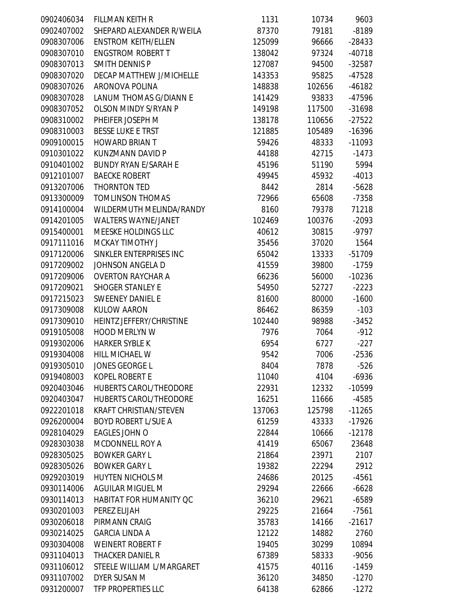| 0902406034 | <b>FILLMAN KEITH R</b>         | 1131   | 10734  | 9603     |
|------------|--------------------------------|--------|--------|----------|
| 0902407002 | SHEPARD ALEXANDER R/WEILA      | 87370  | 79181  | $-8189$  |
| 0908307006 | <b>ENSTROM KEITH/ELLEN</b>     | 125099 | 96666  | $-28433$ |
| 0908307010 | <b>ENGSTROM ROBERT T</b>       | 138042 | 97324  | $-40718$ |
| 0908307013 | <b>SMITH DENNIS P</b>          | 127087 | 94500  | $-32587$ |
| 0908307020 | DECAP MATTHEW J/MICHELLE       | 143353 | 95825  | $-47528$ |
| 0908307026 | ARONOVA POLINA                 | 148838 | 102656 | $-46182$ |
| 0908307028 | LANUM THOMAS G/DIANN E         | 141429 | 93833  | -47596   |
| 0908307052 | <b>OLSON MINDY S/RYAN P</b>    | 149198 | 117500 | $-31698$ |
| 0908310002 | PHEIFER JOSEPH M               | 138178 | 110656 | $-27522$ |
| 0908310003 | <b>BESSE LUKE E TRST</b>       | 121885 | 105489 | $-16396$ |
| 0909100015 | <b>HOWARD BRIAN T</b>          | 59426  | 48333  | $-11093$ |
| 0910301022 | KUNZMANN DAVID P               | 44188  | 42715  | $-1473$  |
| 0910401002 | <b>BUNDY RYAN E/SARAH E</b>    | 45196  | 51190  | 5994     |
| 0912101007 | <b>BAECKE ROBERT</b>           | 49945  | 45932  | $-4013$  |
| 0913207006 | THORNTON TED                   | 8442   | 2814   | $-5628$  |
| 0913300009 | <b>TOMLINSON THOMAS</b>        | 72966  | 65608  | $-7358$  |
| 0914100004 | WILDERMUTH MELINDA/RANDY       | 8160   | 79378  | 71218    |
| 0914201005 | <b>WALTERS WAYNE/JANET</b>     | 102469 | 100376 | $-2093$  |
| 0915400001 | <b>MEESKE HOLDINGS LLC</b>     | 40612  | 30815  | $-9797$  |
| 0917111016 | <b>MCKAY TIMOTHY J</b>         | 35456  | 37020  | 1564     |
| 0917120006 | SINKLER ENTERPRISES INC        | 65042  | 13333  | $-51709$ |
| 0917209002 | JOHNSON ANGELA D               | 41559  | 39800  | $-1759$  |
| 0917209006 | <b>OVERTON RAYCHAR A</b>       | 66236  | 56000  | $-10236$ |
| 0917209021 | <b>SHOGER STANLEY E</b>        | 54950  | 52727  | $-2223$  |
| 0917215023 | <b>SWEENEY DANIEL E</b>        | 81600  | 80000  | $-1600$  |
| 0917309008 | <b>KULOW AARON</b>             | 86462  | 86359  | $-103$   |
| 0917309010 | HEINTZ JEFFERY/CHRISTINE       | 102440 | 98988  | $-3452$  |
| 0919105008 | <b>HOOD MERLYN W</b>           | 7976   | 7064   | $-912$   |
| 0919302006 | <b>HARKER SYBLE K</b>          | 6954   | 6727   | $-227$   |
| 0919304008 | HILL MICHAEL W                 | 9542   | 7006   | $-2536$  |
| 0919305010 | <b>JONES GEORGE L</b>          | 8404   | 7878   | $-526$   |
| 0919408003 | <b>KOPEL ROBERT E</b>          | 11040  | 4104   | $-6936$  |
| 0920403046 | <b>HUBERTS CAROL/THEODORE</b>  | 22931  | 12332  | -10599   |
| 0920403047 | <b>HUBERTS CAROL/THEODORE</b>  | 16251  | 11666  | $-4585$  |
| 0922201018 | <b>KRAFT CHRISTIAN/STEVEN</b>  | 137063 | 125798 | $-11265$ |
| 0926200004 | <b>BOYD ROBERT L/SUE A</b>     | 61259  | 43333  | $-17926$ |
| 0928104029 | EAGLES JOHN O                  | 22844  | 10666  | $-12178$ |
| 0928303038 | <b>MCDONNELL ROY A</b>         | 41419  | 65067  | 23648    |
| 0928305025 | <b>BOWKER GARY L</b>           | 21864  | 23971  | 2107     |
| 0928305026 | <b>BOWKER GARY L</b>           | 19382  | 22294  | 2912     |
| 0929203019 | <b>HUYTEN NICHOLS M</b>        | 24686  | 20125  | $-4561$  |
| 0930114006 | AGUILAR MIGUEL M               | 29294  | 22666  | $-6628$  |
| 0930114013 | <b>HABITAT FOR HUMANITY QC</b> | 36210  | 29621  | $-6589$  |
| 0930201003 | PEREZ ELIJAH                   | 29225  | 21664  | $-7561$  |
| 0930206018 | PIRMANN CRAIG                  | 35783  | 14166  | $-21617$ |
| 0930214025 | <b>GARCIA LINDA A</b>          | 12122  | 14882  | 2760     |
| 0930304008 | <b>WEINERT ROBERT F</b>        | 19405  | 30299  | 10894    |
| 0931104013 | <b>THACKER DANIEL R</b>        | 67389  | 58333  | $-9056$  |
| 0931106012 | STEELE WILLIAM L/MARGARET      | 41575  | 40116  | $-1459$  |
| 0931107002 | DYER SUSAN M                   | 36120  | 34850  | $-1270$  |
| 0931200007 | TFP PROPERTIES LLC             | 64138  | 62866  | $-1272$  |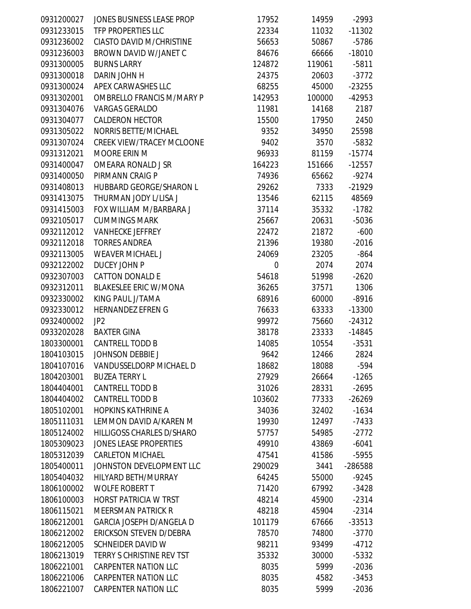| 0931200027 | JONES BUSINESS LEASE PROP        | 17952  | 14959  | $-2993$  |
|------------|----------------------------------|--------|--------|----------|
| 0931233015 | TFP PROPERTIES LLC               | 22334  | 11032  | $-11302$ |
| 0931236002 | <b>CIASTO DAVID M/CHRISTINE</b>  | 56653  | 50867  | $-5786$  |
| 0931236003 | BROWN DAVID W/JANET C            | 84676  | 66666  | $-18010$ |
| 0931300005 | <b>BURNS LARRY</b>               | 124872 | 119061 | $-5811$  |
| 0931300018 | DARIN JOHN H                     | 24375  | 20603  | $-3772$  |
| 0931300024 | APEX CARWASHES LLC               | 68255  | 45000  | $-23255$ |
| 0931302001 | <b>OMBRELLO FRANCIS M/MARY P</b> | 142953 | 100000 | $-42953$ |
| 0931304076 | <b>VARGAS GERALDO</b>            | 11981  | 14168  | 2187     |
| 0931304077 | <b>CALDERON HECTOR</b>           | 15500  | 17950  | 2450     |
| 0931305022 | NORRIS BETTE/MICHAEL             | 9352   | 34950  | 25598    |
| 0931307024 | <b>CREEK VIEW/TRACEY MCLOONE</b> | 9402   | 3570   | $-5832$  |
| 0931312021 | <b>MOORE ERIN M</b>              | 96933  | 81159  | $-15774$ |
| 0931400047 | OMEARA RONALD J SR               | 164223 | 151666 | $-12557$ |
| 0931400050 | PIRMANN CRAIG P                  | 74936  | 65662  | $-9274$  |
| 0931408013 | <b>HUBBARD GEORGE/SHARON L</b>   | 29262  | 7333   | $-21929$ |
| 0931413075 | THURMAN JODY L/LISA J            | 13546  | 62115  | 48569    |
| 0931415003 | FOX WILLIAM M/BARBARA J          | 37114  | 35332  | $-1782$  |
| 0932105017 | <b>CUMMINGS MARK</b>             | 25667  | 20631  | $-5036$  |
| 0932112012 | <b>VANHECKE JEFFREY</b>          | 22472  | 21872  | $-600$   |
| 0932112018 | <b>TORRES ANDREA</b>             | 21396  | 19380  | $-2016$  |
| 0932113005 | <b>WEAVER MICHAEL J</b>          | 24069  | 23205  | $-864$   |
| 0932122002 | <b>DUCEY JOHN P</b>              | 0      | 2074   | 2074     |
| 0932307003 | <b>CATTON DONALD E</b>           | 54618  | 51998  | $-2620$  |
| 0932312011 | <b>BLAKESLEE ERIC W/MONA</b>     | 36265  | 37571  | 1306     |
| 0932330002 | KING PAUL J/TAMA                 | 68916  | 60000  | $-8916$  |
| 0932330012 | <b>HERNANDEZ EFREN G</b>         | 76633  | 63333  | $-13300$ |
| 0932400002 | JP <sub>2</sub>                  | 99972  | 75660  | $-24312$ |
| 0933202028 | <b>BAXTER GINA</b>               | 38178  | 23333  | $-14845$ |
| 1803300001 | <b>CANTRELL TODD B</b>           | 14085  | 10554  | $-3531$  |
| 1804103015 | <b>JOHNSON DEBBIE J</b>          | 9642   | 12466  | 2824     |
| 1804107016 | VANDUSSELDORP MICHAEL D          | 18682  | 18088  | -594     |
| 1804203001 | <b>BUZEA TERRY L</b>             | 27929  | 26664  | $-1265$  |
| 1804404001 | <b>CANTRELL TODD B</b>           | 31026  | 28331  | $-2695$  |
| 1804404002 | <b>CANTRELL TODD B</b>           | 103602 | 77333  | $-26269$ |
| 1805102001 | <b>HOPKINS KATHRINE A</b>        | 34036  | 32402  | $-1634$  |
| 1805111031 | LEMMON DAVID A/KAREN M           | 19930  | 12497  | $-7433$  |
| 1805124002 | <b>HILLIGOSS CHARLES D/SHARO</b> | 57757  | 54985  | $-2772$  |
| 1805309023 | <b>JONES LEASE PROPERTIES</b>    | 49910  | 43869  | $-6041$  |
| 1805312039 | <b>CARLETON MICHAEL</b>          | 47541  | 41586  | $-5955$  |
| 1805400011 | JOHNSTON DEVELOPMENT LLC         | 290029 | 3441   | -286588  |
| 1805404032 | HILYARD BETH/MURRAY              | 64245  | 55000  | $-9245$  |
| 1806100002 | <b>WOLFE ROBERT T</b>            | 71420  | 67992  | $-3428$  |
| 1806100003 | <b>HORST PATRICIA W TRST</b>     | 48214  | 45900  | $-2314$  |
| 1806115021 | <b>MEERSMAN PATRICK R</b>        | 48218  | 45904  | $-2314$  |
| 1806212001 | <b>GARCIA JOSEPH D/ANGELA D</b>  | 101179 | 67666  | $-33513$ |
| 1806212002 | ERICKSON STEVEN D/DEBRA          | 78570  | 74800  | $-3770$  |
| 1806212005 | <b>SCHNEIDER DAVID W</b>         | 98211  | 93499  | $-4712$  |
| 1806213019 | <b>TERRY S CHRISTINE REV TST</b> | 35332  | 30000  | $-5332$  |
| 1806221001 | <b>CARPENTER NATION LLC</b>      | 8035   | 5999   | $-2036$  |
| 1806221006 | <b>CARPENTER NATION LLC</b>      | 8035   | 4582   | $-3453$  |
| 1806221007 | <b>CARPENTER NATION LLC</b>      | 8035   | 5999   | $-2036$  |
|            |                                  |        |        |          |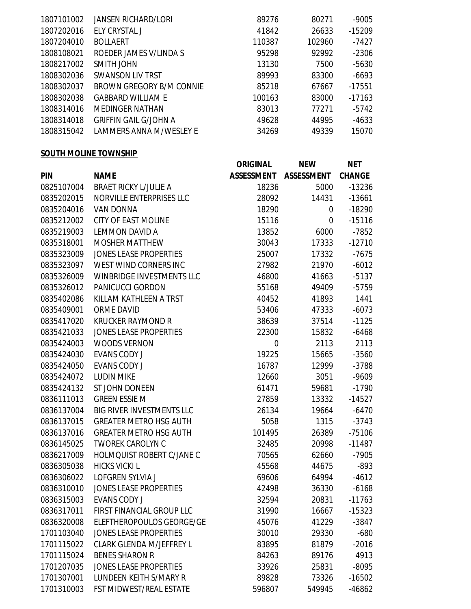| 1807101002 | JANSEN RICHARD/LORI          | 89276  | 80271  | $-9005$  |
|------------|------------------------------|--------|--------|----------|
| 1807202016 | ELY CRYSTAL J                | 41842  | 26633  | $-15209$ |
| 1807204010 | <b>BOLLAERT</b>              | 110387 | 102960 | -7427    |
| 1808108021 | ROEDER JAMES V/LINDA S       | 95298  | 92992  | $-2306$  |
| 1808217002 | SMITH JOHN                   | 13130  | 7500   | $-5630$  |
| 1808302036 | SWANSON LIV TRST             | 89993  | 83300  | $-6693$  |
| 1808302037 | BROWN GREGORY B/M CONNIE     | 85218  | 67667  | -17551   |
| 1808302038 | <b>GABBARD WILLIAM E</b>     | 100163 | 83000  | $-17163$ |
| 1808314016 | <b>MEDINGER NATHAN</b>       | 83013  | 77271  | $-5742$  |
| 1808314018 | <b>GRIFFIN GAIL G/JOHN A</b> | 49628  | 44995  | $-4633$  |
| 1808315042 | LAMMERS ANNA M/WESLEY E      | 34269  | 49339  | 15070    |
|            |                              |        |        |          |

## **SOUTH MOLINE TOWNSHIP**

|            |                               | <b>ORIGINAL</b>   | <b>NEW</b>        | <b>NET</b>    |
|------------|-------------------------------|-------------------|-------------------|---------------|
| <b>PIN</b> | <b>NAME</b>                   | <b>ASSESSMENT</b> | <b>ASSESSMENT</b> | <b>CHANGE</b> |
| 0825107004 | <b>BRAET RICKY L/JULIE A</b>  | 18236             | 5000              | $-13236$      |
| 0835202015 | NORVILLE ENTERPRISES LLC      | 28092             | 14431             | $-13661$      |
| 0835204016 | <b>VAN DONNA</b>              | 18290             | 0                 | $-18290$      |
| 0835212002 | <b>CITY OF EAST MOLINE</b>    | 15116             | 0                 | $-15116$      |
| 0835219003 | LEMMON DAVID A                | 13852             | 6000              | $-7852$       |
| 0835318001 | <b>MOSHER MATTHEW</b>         | 30043             | 17333             | $-12710$      |
| 0835323009 | <b>JONES LEASE PROPERTIES</b> | 25007             | 17332             | $-7675$       |
| 0835323097 | WEST WIND CORNERS INC         | 27982             | 21970             | $-6012$       |
| 0835326009 | WINBRIDGE INVESTMENTS LLC     | 46800             | 41663             | $-5137$       |
| 0835326012 | PANICUCCI GORDON              | 55168             | 49409             | $-5759$       |
| 0835402086 | KILLAM KATHLEEN A TRST        | 40452             | 41893             | 1441          |
| 0835409001 | <b>ORME DAVID</b>             | 53406             | 47333             | $-6073$       |
| 0835417020 | <b>KRUCKER RAYMOND R</b>      | 38639             | 37514             | $-1125$       |
| 0835421033 | <b>JONES LEASE PROPERTIES</b> | 22300             | 15832             | $-6468$       |
| 0835424003 | <b>WOODS VERNON</b>           | 0                 | 2113              | 2113          |
| 0835424030 | <b>EVANS CODY J</b>           | 19225             | 15665             | $-3560$       |
| 0835424050 | <b>EVANS CODY J</b>           | 16787             | 12999             | $-3788$       |
| 0835424072 | <b>LUDIN MIKE</b>             | 12660             | 3051              | $-9609$       |
| 0835424132 | ST JOHN DONEEN                | 61471             | 59681             | $-1790$       |
| 0836111013 | <b>GREEN ESSIE M</b>          | 27859             | 13332             | $-14527$      |
| 0836137004 | BIG RIVER INVESTMENTS LLC     | 26134             | 19664             | $-6470$       |
| 0836137015 | <b>GREATER METRO HSG AUTH</b> | 5058              | 1315              | $-3743$       |
| 0836137016 | <b>GREATER METRO HSG AUTH</b> | 101495            | 26389             | $-75106$      |
| 0836145025 | <b>TWOREK CAROLYN C</b>       | 32485             | 20998             | $-11487$      |
| 0836217009 | HOLMQUIST ROBERT C/JANE C     | 70565             | 62660             | $-7905$       |
| 0836305038 | <b>HICKS VICKI L</b>          | 45568             | 44675             | $-893$        |
| 0836306022 | <b>LOFGREN SYLVIA J</b>       | 69606             | 64994             | $-4612$       |
| 0836310010 | <b>JONES LEASE PROPERTIES</b> | 42498             | 36330             | $-6168$       |
| 0836315003 | <b>EVANS CODY J</b>           | 32594             | 20831             | $-11763$      |
| 0836317011 | FIRST FINANCIAL GROUP LLC     | 31990             | 16667             | $-15323$      |
| 0836320008 | ELEFTHEROPOULOS GEORGE/GE     | 45076             | 41229             | $-3847$       |
| 1701103040 | <b>JONES LEASE PROPERTIES</b> | 30010             | 29330             | $-680$        |
| 1701115022 | CLARK GLENDA M/JEFFREY L      | 83895             | 81879             | $-2016$       |
| 1701115024 | <b>BENES SHARON R</b>         | 84263             | 89176             | 4913          |
| 1701207035 | <b>JONES LEASE PROPERTIES</b> | 33926             | 25831             | $-8095$       |
| 1701307001 | LUNDEEN KEITH S/MARY R        | 89828             | 73326             | $-16502$      |
| 1701310003 | FST MIDWEST/REAL ESTATE       | 596807            | 549945            | $-46862$      |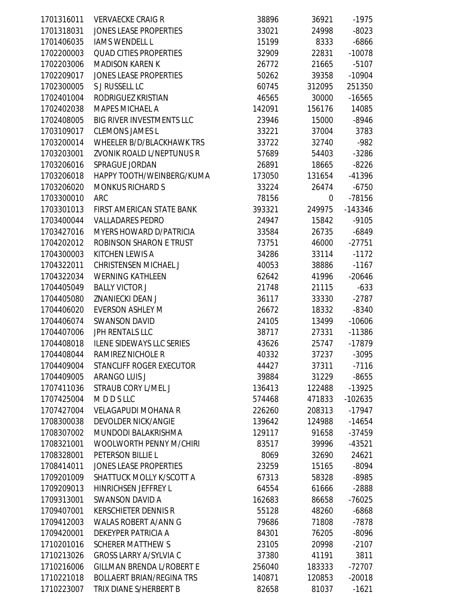| 1701318031<br><b>JONES LEASE PROPERTIES</b><br>33021<br>24998<br>$-8023$<br><b>IAMS WENDELL L</b><br>1701406035<br>15199<br>$-6866$<br>8333<br><b>QUAD CITIES PROPERTIES</b><br>$-10078$<br>1702200003<br>32909<br>22831<br>1702203006<br><b>MADISON KAREN K</b><br>$-5107$<br>26772<br>21665<br>1702209017<br><b>JONES LEASE PROPERTIES</b><br>50262<br>$-10904$<br>39358<br>1702300005<br>S J RUSSELL LC<br>251350<br>60745<br>312095<br>1702401004<br>RODRIGUEZ KRISTIAN<br>$-16565$<br>46565<br>30000<br>1702402038<br><b>MAPES MICHAEL A</b><br>14085<br>142091<br>156176<br><b>BIG RIVER INVESTMENTS LLC</b><br>1702408005<br>15000<br>$-8946$<br>23946<br>1703109017<br><b>CLEMONS JAMES L</b><br>33221<br>37004<br>3783<br>1703200014<br>WHEELER B/D/BLACKHAWK TRS<br>$-982$<br>33722<br>32740<br>1703203001<br>ZVONIK ROALD L/NEPTUNUS R<br>57689<br>$-3286$<br>54403<br>1703206016<br>SPRAGUE JORDAN<br>$-8226$<br>26891<br>18665<br>1703206018<br>HAPPY TOOTH/WEINBERG/KUMA<br>$-41396$<br>173050<br>131654<br>1703206020<br><b>MONKUS RICHARD S</b><br>33224<br>$-6750$<br>26474<br>1703300010<br><b>ARC</b><br>78156<br>$-78156$<br>0<br>1703301013<br>FIRST AMERICAN STATE BANK<br>393321<br>$-143346$<br>249975<br>1703400044<br><b>VALLADARES PEDRO</b><br>$-9105$<br>24947<br>15842<br>1703427016<br><b>MYERS HOWARD D/PATRICIA</b><br>$-6849$<br>33584<br>26735<br>1704202012<br>ROBINSON SHARON E TRUST<br>$-27751$<br>73751<br>46000<br>1704300003<br>KITCHEN LEWIS A<br>34286<br>33114<br>$-1172$<br><b>CHRISTENSEN MICHAEL J</b><br>38886<br>$-1167$<br>1704322011<br>40053<br>1704322034<br><b>WERNING KATHLEEN</b><br>$-20646$<br>62642<br>41996<br><b>BALLY VICTOR J</b><br>1704405049<br>$-633$<br>21748<br>21115<br>1704405080<br>ZNANIECKI DEAN J<br>36117<br>33330<br>$-2787$<br><b>EVERSON ASHLEY M</b><br>1704406020<br>26672<br>18332<br>$-8340$<br><b>SWANSON DAVID</b><br>$-10606$<br>1704406074<br>24105<br>13499<br><b>JPH RENTALS LLC</b><br>1704407006<br>$-11386$<br>38717<br>27331<br>1704408018<br><b>ILENE SIDEWAYS LLC SERIES</b><br>43626<br>25747<br>-17879<br>1704408044<br>RAMIREZ NICHOLE R<br>40332<br>37237<br>$-3095$<br>STANCLIFF ROGER EXECUTOR<br>1704409004<br>44427<br>$-7116$<br>37311<br><b>ARANGO LUIS J</b><br>1704409005<br>39884<br>31229<br>$-8655$<br>1707411036<br>STRAUB CORY L/MEL J<br>$-13925$<br>136413<br>122488<br>1707425004<br>MDDSLLC<br>$-102635$<br>574468<br>471833<br><b>VELAGAPUDI MOHANA R</b><br>1707427004<br>208313<br>$-17947$<br>226260<br>1708300038<br><b>DEVOLDER NICK/ANGIE</b><br>139642<br>124988<br>$-14654$<br>1708307002<br><b>MUNDODI BALAKRISHMA</b><br>129117<br>91658<br>$-37459$<br>1708321001<br><b>WOOLWORTH PENNY M/CHIRI</b><br>83517<br>$-43521$<br>39996<br>PETERSON BILLIE L<br>8069<br>24621<br>1708328001<br>32690<br><b>JONES LEASE PROPERTIES</b><br>1708414011<br>$-8094$<br>23259<br>15165<br>SHATTUCK MOLLY K/SCOTT A<br>1709201009<br>67313<br>58328<br>$-8985$<br>1709209013<br><b>HINRICHSEN JEFFREY L</b><br>64554<br>$-2888$<br>61666<br>1709313001<br><b>SWANSON DAVID A</b><br>162683<br>$-76025$<br>86658<br>1709407001<br><b>KERSCHIETER DENNIS R</b><br>$-6868$<br>55128<br>48260<br><b>WALAS ROBERT A/ANN G</b><br>1709412003<br>71808<br>$-7878$<br>79686<br>1709420001<br>DEKEYPER PATRICIA A<br>84301<br>76205<br>$-8096$<br><b>SCHERER MATTHEW S</b><br>1710201016<br>23105<br>20998<br>$-2107$<br>3811<br>1710213026<br><b>GROSS LARRY A/SYLVIA C</b><br>37380<br>41191 | 1701316011 | <b>VERVAECKE CRAIG R</b>         | 38896  | 36921  | $-1975$  |
|-----------------------------------------------------------------------------------------------------------------------------------------------------------------------------------------------------------------------------------------------------------------------------------------------------------------------------------------------------------------------------------------------------------------------------------------------------------------------------------------------------------------------------------------------------------------------------------------------------------------------------------------------------------------------------------------------------------------------------------------------------------------------------------------------------------------------------------------------------------------------------------------------------------------------------------------------------------------------------------------------------------------------------------------------------------------------------------------------------------------------------------------------------------------------------------------------------------------------------------------------------------------------------------------------------------------------------------------------------------------------------------------------------------------------------------------------------------------------------------------------------------------------------------------------------------------------------------------------------------------------------------------------------------------------------------------------------------------------------------------------------------------------------------------------------------------------------------------------------------------------------------------------------------------------------------------------------------------------------------------------------------------------------------------------------------------------------------------------------------------------------------------------------------------------------------------------------------------------------------------------------------------------------------------------------------------------------------------------------------------------------------------------------------------------------------------------------------------------------------------------------------------------------------------------------------------------------------------------------------------------------------------------------------------------------------------------------------------------------------------------------------------------------------------------------------------------------------------------------------------------------------------------------------------------------------------------------------------------------------------------------------------------------------------------------------------------------------------------------------------------------------------------------------------------------------------------------------------------------------------------------------------------------------------------------------------------------------------------------------------------------------------------------------------------------------------------------------------------------------------------------------|------------|----------------------------------|--------|--------|----------|
|                                                                                                                                                                                                                                                                                                                                                                                                                                                                                                                                                                                                                                                                                                                                                                                                                                                                                                                                                                                                                                                                                                                                                                                                                                                                                                                                                                                                                                                                                                                                                                                                                                                                                                                                                                                                                                                                                                                                                                                                                                                                                                                                                                                                                                                                                                                                                                                                                                                                                                                                                                                                                                                                                                                                                                                                                                                                                                                                                                                                                                                                                                                                                                                                                                                                                                                                                                                                                                                                                                           |            |                                  |        |        |          |
|                                                                                                                                                                                                                                                                                                                                                                                                                                                                                                                                                                                                                                                                                                                                                                                                                                                                                                                                                                                                                                                                                                                                                                                                                                                                                                                                                                                                                                                                                                                                                                                                                                                                                                                                                                                                                                                                                                                                                                                                                                                                                                                                                                                                                                                                                                                                                                                                                                                                                                                                                                                                                                                                                                                                                                                                                                                                                                                                                                                                                                                                                                                                                                                                                                                                                                                                                                                                                                                                                                           |            |                                  |        |        |          |
|                                                                                                                                                                                                                                                                                                                                                                                                                                                                                                                                                                                                                                                                                                                                                                                                                                                                                                                                                                                                                                                                                                                                                                                                                                                                                                                                                                                                                                                                                                                                                                                                                                                                                                                                                                                                                                                                                                                                                                                                                                                                                                                                                                                                                                                                                                                                                                                                                                                                                                                                                                                                                                                                                                                                                                                                                                                                                                                                                                                                                                                                                                                                                                                                                                                                                                                                                                                                                                                                                                           |            |                                  |        |        |          |
|                                                                                                                                                                                                                                                                                                                                                                                                                                                                                                                                                                                                                                                                                                                                                                                                                                                                                                                                                                                                                                                                                                                                                                                                                                                                                                                                                                                                                                                                                                                                                                                                                                                                                                                                                                                                                                                                                                                                                                                                                                                                                                                                                                                                                                                                                                                                                                                                                                                                                                                                                                                                                                                                                                                                                                                                                                                                                                                                                                                                                                                                                                                                                                                                                                                                                                                                                                                                                                                                                                           |            |                                  |        |        |          |
|                                                                                                                                                                                                                                                                                                                                                                                                                                                                                                                                                                                                                                                                                                                                                                                                                                                                                                                                                                                                                                                                                                                                                                                                                                                                                                                                                                                                                                                                                                                                                                                                                                                                                                                                                                                                                                                                                                                                                                                                                                                                                                                                                                                                                                                                                                                                                                                                                                                                                                                                                                                                                                                                                                                                                                                                                                                                                                                                                                                                                                                                                                                                                                                                                                                                                                                                                                                                                                                                                                           |            |                                  |        |        |          |
|                                                                                                                                                                                                                                                                                                                                                                                                                                                                                                                                                                                                                                                                                                                                                                                                                                                                                                                                                                                                                                                                                                                                                                                                                                                                                                                                                                                                                                                                                                                                                                                                                                                                                                                                                                                                                                                                                                                                                                                                                                                                                                                                                                                                                                                                                                                                                                                                                                                                                                                                                                                                                                                                                                                                                                                                                                                                                                                                                                                                                                                                                                                                                                                                                                                                                                                                                                                                                                                                                                           |            |                                  |        |        |          |
|                                                                                                                                                                                                                                                                                                                                                                                                                                                                                                                                                                                                                                                                                                                                                                                                                                                                                                                                                                                                                                                                                                                                                                                                                                                                                                                                                                                                                                                                                                                                                                                                                                                                                                                                                                                                                                                                                                                                                                                                                                                                                                                                                                                                                                                                                                                                                                                                                                                                                                                                                                                                                                                                                                                                                                                                                                                                                                                                                                                                                                                                                                                                                                                                                                                                                                                                                                                                                                                                                                           |            |                                  |        |        |          |
|                                                                                                                                                                                                                                                                                                                                                                                                                                                                                                                                                                                                                                                                                                                                                                                                                                                                                                                                                                                                                                                                                                                                                                                                                                                                                                                                                                                                                                                                                                                                                                                                                                                                                                                                                                                                                                                                                                                                                                                                                                                                                                                                                                                                                                                                                                                                                                                                                                                                                                                                                                                                                                                                                                                                                                                                                                                                                                                                                                                                                                                                                                                                                                                                                                                                                                                                                                                                                                                                                                           |            |                                  |        |        |          |
|                                                                                                                                                                                                                                                                                                                                                                                                                                                                                                                                                                                                                                                                                                                                                                                                                                                                                                                                                                                                                                                                                                                                                                                                                                                                                                                                                                                                                                                                                                                                                                                                                                                                                                                                                                                                                                                                                                                                                                                                                                                                                                                                                                                                                                                                                                                                                                                                                                                                                                                                                                                                                                                                                                                                                                                                                                                                                                                                                                                                                                                                                                                                                                                                                                                                                                                                                                                                                                                                                                           |            |                                  |        |        |          |
|                                                                                                                                                                                                                                                                                                                                                                                                                                                                                                                                                                                                                                                                                                                                                                                                                                                                                                                                                                                                                                                                                                                                                                                                                                                                                                                                                                                                                                                                                                                                                                                                                                                                                                                                                                                                                                                                                                                                                                                                                                                                                                                                                                                                                                                                                                                                                                                                                                                                                                                                                                                                                                                                                                                                                                                                                                                                                                                                                                                                                                                                                                                                                                                                                                                                                                                                                                                                                                                                                                           |            |                                  |        |        |          |
|                                                                                                                                                                                                                                                                                                                                                                                                                                                                                                                                                                                                                                                                                                                                                                                                                                                                                                                                                                                                                                                                                                                                                                                                                                                                                                                                                                                                                                                                                                                                                                                                                                                                                                                                                                                                                                                                                                                                                                                                                                                                                                                                                                                                                                                                                                                                                                                                                                                                                                                                                                                                                                                                                                                                                                                                                                                                                                                                                                                                                                                                                                                                                                                                                                                                                                                                                                                                                                                                                                           |            |                                  |        |        |          |
|                                                                                                                                                                                                                                                                                                                                                                                                                                                                                                                                                                                                                                                                                                                                                                                                                                                                                                                                                                                                                                                                                                                                                                                                                                                                                                                                                                                                                                                                                                                                                                                                                                                                                                                                                                                                                                                                                                                                                                                                                                                                                                                                                                                                                                                                                                                                                                                                                                                                                                                                                                                                                                                                                                                                                                                                                                                                                                                                                                                                                                                                                                                                                                                                                                                                                                                                                                                                                                                                                                           |            |                                  |        |        |          |
|                                                                                                                                                                                                                                                                                                                                                                                                                                                                                                                                                                                                                                                                                                                                                                                                                                                                                                                                                                                                                                                                                                                                                                                                                                                                                                                                                                                                                                                                                                                                                                                                                                                                                                                                                                                                                                                                                                                                                                                                                                                                                                                                                                                                                                                                                                                                                                                                                                                                                                                                                                                                                                                                                                                                                                                                                                                                                                                                                                                                                                                                                                                                                                                                                                                                                                                                                                                                                                                                                                           |            |                                  |        |        |          |
|                                                                                                                                                                                                                                                                                                                                                                                                                                                                                                                                                                                                                                                                                                                                                                                                                                                                                                                                                                                                                                                                                                                                                                                                                                                                                                                                                                                                                                                                                                                                                                                                                                                                                                                                                                                                                                                                                                                                                                                                                                                                                                                                                                                                                                                                                                                                                                                                                                                                                                                                                                                                                                                                                                                                                                                                                                                                                                                                                                                                                                                                                                                                                                                                                                                                                                                                                                                                                                                                                                           |            |                                  |        |        |          |
|                                                                                                                                                                                                                                                                                                                                                                                                                                                                                                                                                                                                                                                                                                                                                                                                                                                                                                                                                                                                                                                                                                                                                                                                                                                                                                                                                                                                                                                                                                                                                                                                                                                                                                                                                                                                                                                                                                                                                                                                                                                                                                                                                                                                                                                                                                                                                                                                                                                                                                                                                                                                                                                                                                                                                                                                                                                                                                                                                                                                                                                                                                                                                                                                                                                                                                                                                                                                                                                                                                           |            |                                  |        |        |          |
|                                                                                                                                                                                                                                                                                                                                                                                                                                                                                                                                                                                                                                                                                                                                                                                                                                                                                                                                                                                                                                                                                                                                                                                                                                                                                                                                                                                                                                                                                                                                                                                                                                                                                                                                                                                                                                                                                                                                                                                                                                                                                                                                                                                                                                                                                                                                                                                                                                                                                                                                                                                                                                                                                                                                                                                                                                                                                                                                                                                                                                                                                                                                                                                                                                                                                                                                                                                                                                                                                                           |            |                                  |        |        |          |
|                                                                                                                                                                                                                                                                                                                                                                                                                                                                                                                                                                                                                                                                                                                                                                                                                                                                                                                                                                                                                                                                                                                                                                                                                                                                                                                                                                                                                                                                                                                                                                                                                                                                                                                                                                                                                                                                                                                                                                                                                                                                                                                                                                                                                                                                                                                                                                                                                                                                                                                                                                                                                                                                                                                                                                                                                                                                                                                                                                                                                                                                                                                                                                                                                                                                                                                                                                                                                                                                                                           |            |                                  |        |        |          |
|                                                                                                                                                                                                                                                                                                                                                                                                                                                                                                                                                                                                                                                                                                                                                                                                                                                                                                                                                                                                                                                                                                                                                                                                                                                                                                                                                                                                                                                                                                                                                                                                                                                                                                                                                                                                                                                                                                                                                                                                                                                                                                                                                                                                                                                                                                                                                                                                                                                                                                                                                                                                                                                                                                                                                                                                                                                                                                                                                                                                                                                                                                                                                                                                                                                                                                                                                                                                                                                                                                           |            |                                  |        |        |          |
|                                                                                                                                                                                                                                                                                                                                                                                                                                                                                                                                                                                                                                                                                                                                                                                                                                                                                                                                                                                                                                                                                                                                                                                                                                                                                                                                                                                                                                                                                                                                                                                                                                                                                                                                                                                                                                                                                                                                                                                                                                                                                                                                                                                                                                                                                                                                                                                                                                                                                                                                                                                                                                                                                                                                                                                                                                                                                                                                                                                                                                                                                                                                                                                                                                                                                                                                                                                                                                                                                                           |            |                                  |        |        |          |
|                                                                                                                                                                                                                                                                                                                                                                                                                                                                                                                                                                                                                                                                                                                                                                                                                                                                                                                                                                                                                                                                                                                                                                                                                                                                                                                                                                                                                                                                                                                                                                                                                                                                                                                                                                                                                                                                                                                                                                                                                                                                                                                                                                                                                                                                                                                                                                                                                                                                                                                                                                                                                                                                                                                                                                                                                                                                                                                                                                                                                                                                                                                                                                                                                                                                                                                                                                                                                                                                                                           |            |                                  |        |        |          |
|                                                                                                                                                                                                                                                                                                                                                                                                                                                                                                                                                                                                                                                                                                                                                                                                                                                                                                                                                                                                                                                                                                                                                                                                                                                                                                                                                                                                                                                                                                                                                                                                                                                                                                                                                                                                                                                                                                                                                                                                                                                                                                                                                                                                                                                                                                                                                                                                                                                                                                                                                                                                                                                                                                                                                                                                                                                                                                                                                                                                                                                                                                                                                                                                                                                                                                                                                                                                                                                                                                           |            |                                  |        |        |          |
|                                                                                                                                                                                                                                                                                                                                                                                                                                                                                                                                                                                                                                                                                                                                                                                                                                                                                                                                                                                                                                                                                                                                                                                                                                                                                                                                                                                                                                                                                                                                                                                                                                                                                                                                                                                                                                                                                                                                                                                                                                                                                                                                                                                                                                                                                                                                                                                                                                                                                                                                                                                                                                                                                                                                                                                                                                                                                                                                                                                                                                                                                                                                                                                                                                                                                                                                                                                                                                                                                                           |            |                                  |        |        |          |
|                                                                                                                                                                                                                                                                                                                                                                                                                                                                                                                                                                                                                                                                                                                                                                                                                                                                                                                                                                                                                                                                                                                                                                                                                                                                                                                                                                                                                                                                                                                                                                                                                                                                                                                                                                                                                                                                                                                                                                                                                                                                                                                                                                                                                                                                                                                                                                                                                                                                                                                                                                                                                                                                                                                                                                                                                                                                                                                                                                                                                                                                                                                                                                                                                                                                                                                                                                                                                                                                                                           |            |                                  |        |        |          |
|                                                                                                                                                                                                                                                                                                                                                                                                                                                                                                                                                                                                                                                                                                                                                                                                                                                                                                                                                                                                                                                                                                                                                                                                                                                                                                                                                                                                                                                                                                                                                                                                                                                                                                                                                                                                                                                                                                                                                                                                                                                                                                                                                                                                                                                                                                                                                                                                                                                                                                                                                                                                                                                                                                                                                                                                                                                                                                                                                                                                                                                                                                                                                                                                                                                                                                                                                                                                                                                                                                           |            |                                  |        |        |          |
|                                                                                                                                                                                                                                                                                                                                                                                                                                                                                                                                                                                                                                                                                                                                                                                                                                                                                                                                                                                                                                                                                                                                                                                                                                                                                                                                                                                                                                                                                                                                                                                                                                                                                                                                                                                                                                                                                                                                                                                                                                                                                                                                                                                                                                                                                                                                                                                                                                                                                                                                                                                                                                                                                                                                                                                                                                                                                                                                                                                                                                                                                                                                                                                                                                                                                                                                                                                                                                                                                                           |            |                                  |        |        |          |
|                                                                                                                                                                                                                                                                                                                                                                                                                                                                                                                                                                                                                                                                                                                                                                                                                                                                                                                                                                                                                                                                                                                                                                                                                                                                                                                                                                                                                                                                                                                                                                                                                                                                                                                                                                                                                                                                                                                                                                                                                                                                                                                                                                                                                                                                                                                                                                                                                                                                                                                                                                                                                                                                                                                                                                                                                                                                                                                                                                                                                                                                                                                                                                                                                                                                                                                                                                                                                                                                                                           |            |                                  |        |        |          |
|                                                                                                                                                                                                                                                                                                                                                                                                                                                                                                                                                                                                                                                                                                                                                                                                                                                                                                                                                                                                                                                                                                                                                                                                                                                                                                                                                                                                                                                                                                                                                                                                                                                                                                                                                                                                                                                                                                                                                                                                                                                                                                                                                                                                                                                                                                                                                                                                                                                                                                                                                                                                                                                                                                                                                                                                                                                                                                                                                                                                                                                                                                                                                                                                                                                                                                                                                                                                                                                                                                           |            |                                  |        |        |          |
|                                                                                                                                                                                                                                                                                                                                                                                                                                                                                                                                                                                                                                                                                                                                                                                                                                                                                                                                                                                                                                                                                                                                                                                                                                                                                                                                                                                                                                                                                                                                                                                                                                                                                                                                                                                                                                                                                                                                                                                                                                                                                                                                                                                                                                                                                                                                                                                                                                                                                                                                                                                                                                                                                                                                                                                                                                                                                                                                                                                                                                                                                                                                                                                                                                                                                                                                                                                                                                                                                                           |            |                                  |        |        |          |
|                                                                                                                                                                                                                                                                                                                                                                                                                                                                                                                                                                                                                                                                                                                                                                                                                                                                                                                                                                                                                                                                                                                                                                                                                                                                                                                                                                                                                                                                                                                                                                                                                                                                                                                                                                                                                                                                                                                                                                                                                                                                                                                                                                                                                                                                                                                                                                                                                                                                                                                                                                                                                                                                                                                                                                                                                                                                                                                                                                                                                                                                                                                                                                                                                                                                                                                                                                                                                                                                                                           |            |                                  |        |        |          |
|                                                                                                                                                                                                                                                                                                                                                                                                                                                                                                                                                                                                                                                                                                                                                                                                                                                                                                                                                                                                                                                                                                                                                                                                                                                                                                                                                                                                                                                                                                                                                                                                                                                                                                                                                                                                                                                                                                                                                                                                                                                                                                                                                                                                                                                                                                                                                                                                                                                                                                                                                                                                                                                                                                                                                                                                                                                                                                                                                                                                                                                                                                                                                                                                                                                                                                                                                                                                                                                                                                           |            |                                  |        |        |          |
|                                                                                                                                                                                                                                                                                                                                                                                                                                                                                                                                                                                                                                                                                                                                                                                                                                                                                                                                                                                                                                                                                                                                                                                                                                                                                                                                                                                                                                                                                                                                                                                                                                                                                                                                                                                                                                                                                                                                                                                                                                                                                                                                                                                                                                                                                                                                                                                                                                                                                                                                                                                                                                                                                                                                                                                                                                                                                                                                                                                                                                                                                                                                                                                                                                                                                                                                                                                                                                                                                                           |            |                                  |        |        |          |
|                                                                                                                                                                                                                                                                                                                                                                                                                                                                                                                                                                                                                                                                                                                                                                                                                                                                                                                                                                                                                                                                                                                                                                                                                                                                                                                                                                                                                                                                                                                                                                                                                                                                                                                                                                                                                                                                                                                                                                                                                                                                                                                                                                                                                                                                                                                                                                                                                                                                                                                                                                                                                                                                                                                                                                                                                                                                                                                                                                                                                                                                                                                                                                                                                                                                                                                                                                                                                                                                                                           |            |                                  |        |        |          |
|                                                                                                                                                                                                                                                                                                                                                                                                                                                                                                                                                                                                                                                                                                                                                                                                                                                                                                                                                                                                                                                                                                                                                                                                                                                                                                                                                                                                                                                                                                                                                                                                                                                                                                                                                                                                                                                                                                                                                                                                                                                                                                                                                                                                                                                                                                                                                                                                                                                                                                                                                                                                                                                                                                                                                                                                                                                                                                                                                                                                                                                                                                                                                                                                                                                                                                                                                                                                                                                                                                           |            |                                  |        |        |          |
|                                                                                                                                                                                                                                                                                                                                                                                                                                                                                                                                                                                                                                                                                                                                                                                                                                                                                                                                                                                                                                                                                                                                                                                                                                                                                                                                                                                                                                                                                                                                                                                                                                                                                                                                                                                                                                                                                                                                                                                                                                                                                                                                                                                                                                                                                                                                                                                                                                                                                                                                                                                                                                                                                                                                                                                                                                                                                                                                                                                                                                                                                                                                                                                                                                                                                                                                                                                                                                                                                                           |            |                                  |        |        |          |
|                                                                                                                                                                                                                                                                                                                                                                                                                                                                                                                                                                                                                                                                                                                                                                                                                                                                                                                                                                                                                                                                                                                                                                                                                                                                                                                                                                                                                                                                                                                                                                                                                                                                                                                                                                                                                                                                                                                                                                                                                                                                                                                                                                                                                                                                                                                                                                                                                                                                                                                                                                                                                                                                                                                                                                                                                                                                                                                                                                                                                                                                                                                                                                                                                                                                                                                                                                                                                                                                                                           |            |                                  |        |        |          |
|                                                                                                                                                                                                                                                                                                                                                                                                                                                                                                                                                                                                                                                                                                                                                                                                                                                                                                                                                                                                                                                                                                                                                                                                                                                                                                                                                                                                                                                                                                                                                                                                                                                                                                                                                                                                                                                                                                                                                                                                                                                                                                                                                                                                                                                                                                                                                                                                                                                                                                                                                                                                                                                                                                                                                                                                                                                                                                                                                                                                                                                                                                                                                                                                                                                                                                                                                                                                                                                                                                           |            |                                  |        |        |          |
|                                                                                                                                                                                                                                                                                                                                                                                                                                                                                                                                                                                                                                                                                                                                                                                                                                                                                                                                                                                                                                                                                                                                                                                                                                                                                                                                                                                                                                                                                                                                                                                                                                                                                                                                                                                                                                                                                                                                                                                                                                                                                                                                                                                                                                                                                                                                                                                                                                                                                                                                                                                                                                                                                                                                                                                                                                                                                                                                                                                                                                                                                                                                                                                                                                                                                                                                                                                                                                                                                                           |            |                                  |        |        |          |
|                                                                                                                                                                                                                                                                                                                                                                                                                                                                                                                                                                                                                                                                                                                                                                                                                                                                                                                                                                                                                                                                                                                                                                                                                                                                                                                                                                                                                                                                                                                                                                                                                                                                                                                                                                                                                                                                                                                                                                                                                                                                                                                                                                                                                                                                                                                                                                                                                                                                                                                                                                                                                                                                                                                                                                                                                                                                                                                                                                                                                                                                                                                                                                                                                                                                                                                                                                                                                                                                                                           |            |                                  |        |        |          |
|                                                                                                                                                                                                                                                                                                                                                                                                                                                                                                                                                                                                                                                                                                                                                                                                                                                                                                                                                                                                                                                                                                                                                                                                                                                                                                                                                                                                                                                                                                                                                                                                                                                                                                                                                                                                                                                                                                                                                                                                                                                                                                                                                                                                                                                                                                                                                                                                                                                                                                                                                                                                                                                                                                                                                                                                                                                                                                                                                                                                                                                                                                                                                                                                                                                                                                                                                                                                                                                                                                           |            |                                  |        |        |          |
|                                                                                                                                                                                                                                                                                                                                                                                                                                                                                                                                                                                                                                                                                                                                                                                                                                                                                                                                                                                                                                                                                                                                                                                                                                                                                                                                                                                                                                                                                                                                                                                                                                                                                                                                                                                                                                                                                                                                                                                                                                                                                                                                                                                                                                                                                                                                                                                                                                                                                                                                                                                                                                                                                                                                                                                                                                                                                                                                                                                                                                                                                                                                                                                                                                                                                                                                                                                                                                                                                                           |            |                                  |        |        |          |
|                                                                                                                                                                                                                                                                                                                                                                                                                                                                                                                                                                                                                                                                                                                                                                                                                                                                                                                                                                                                                                                                                                                                                                                                                                                                                                                                                                                                                                                                                                                                                                                                                                                                                                                                                                                                                                                                                                                                                                                                                                                                                                                                                                                                                                                                                                                                                                                                                                                                                                                                                                                                                                                                                                                                                                                                                                                                                                                                                                                                                                                                                                                                                                                                                                                                                                                                                                                                                                                                                                           |            |                                  |        |        |          |
|                                                                                                                                                                                                                                                                                                                                                                                                                                                                                                                                                                                                                                                                                                                                                                                                                                                                                                                                                                                                                                                                                                                                                                                                                                                                                                                                                                                                                                                                                                                                                                                                                                                                                                                                                                                                                                                                                                                                                                                                                                                                                                                                                                                                                                                                                                                                                                                                                                                                                                                                                                                                                                                                                                                                                                                                                                                                                                                                                                                                                                                                                                                                                                                                                                                                                                                                                                                                                                                                                                           |            |                                  |        |        |          |
|                                                                                                                                                                                                                                                                                                                                                                                                                                                                                                                                                                                                                                                                                                                                                                                                                                                                                                                                                                                                                                                                                                                                                                                                                                                                                                                                                                                                                                                                                                                                                                                                                                                                                                                                                                                                                                                                                                                                                                                                                                                                                                                                                                                                                                                                                                                                                                                                                                                                                                                                                                                                                                                                                                                                                                                                                                                                                                                                                                                                                                                                                                                                                                                                                                                                                                                                                                                                                                                                                                           |            |                                  |        |        |          |
|                                                                                                                                                                                                                                                                                                                                                                                                                                                                                                                                                                                                                                                                                                                                                                                                                                                                                                                                                                                                                                                                                                                                                                                                                                                                                                                                                                                                                                                                                                                                                                                                                                                                                                                                                                                                                                                                                                                                                                                                                                                                                                                                                                                                                                                                                                                                                                                                                                                                                                                                                                                                                                                                                                                                                                                                                                                                                                                                                                                                                                                                                                                                                                                                                                                                                                                                                                                                                                                                                                           |            |                                  |        |        |          |
|                                                                                                                                                                                                                                                                                                                                                                                                                                                                                                                                                                                                                                                                                                                                                                                                                                                                                                                                                                                                                                                                                                                                                                                                                                                                                                                                                                                                                                                                                                                                                                                                                                                                                                                                                                                                                                                                                                                                                                                                                                                                                                                                                                                                                                                                                                                                                                                                                                                                                                                                                                                                                                                                                                                                                                                                                                                                                                                                                                                                                                                                                                                                                                                                                                                                                                                                                                                                                                                                                                           |            |                                  |        |        |          |
|                                                                                                                                                                                                                                                                                                                                                                                                                                                                                                                                                                                                                                                                                                                                                                                                                                                                                                                                                                                                                                                                                                                                                                                                                                                                                                                                                                                                                                                                                                                                                                                                                                                                                                                                                                                                                                                                                                                                                                                                                                                                                                                                                                                                                                                                                                                                                                                                                                                                                                                                                                                                                                                                                                                                                                                                                                                                                                                                                                                                                                                                                                                                                                                                                                                                                                                                                                                                                                                                                                           |            |                                  |        |        |          |
|                                                                                                                                                                                                                                                                                                                                                                                                                                                                                                                                                                                                                                                                                                                                                                                                                                                                                                                                                                                                                                                                                                                                                                                                                                                                                                                                                                                                                                                                                                                                                                                                                                                                                                                                                                                                                                                                                                                                                                                                                                                                                                                                                                                                                                                                                                                                                                                                                                                                                                                                                                                                                                                                                                                                                                                                                                                                                                                                                                                                                                                                                                                                                                                                                                                                                                                                                                                                                                                                                                           |            |                                  |        |        |          |
|                                                                                                                                                                                                                                                                                                                                                                                                                                                                                                                                                                                                                                                                                                                                                                                                                                                                                                                                                                                                                                                                                                                                                                                                                                                                                                                                                                                                                                                                                                                                                                                                                                                                                                                                                                                                                                                                                                                                                                                                                                                                                                                                                                                                                                                                                                                                                                                                                                                                                                                                                                                                                                                                                                                                                                                                                                                                                                                                                                                                                                                                                                                                                                                                                                                                                                                                                                                                                                                                                                           |            |                                  |        |        |          |
|                                                                                                                                                                                                                                                                                                                                                                                                                                                                                                                                                                                                                                                                                                                                                                                                                                                                                                                                                                                                                                                                                                                                                                                                                                                                                                                                                                                                                                                                                                                                                                                                                                                                                                                                                                                                                                                                                                                                                                                                                                                                                                                                                                                                                                                                                                                                                                                                                                                                                                                                                                                                                                                                                                                                                                                                                                                                                                                                                                                                                                                                                                                                                                                                                                                                                                                                                                                                                                                                                                           | 1710216006 | <b>GILLMAN BRENDA L/ROBERT E</b> | 256040 | 183333 | $-72707$ |
| 1710221018<br><b>BOLLAERT BRIAN/REGINA TRS</b><br>140871<br>120853<br>$-20018$                                                                                                                                                                                                                                                                                                                                                                                                                                                                                                                                                                                                                                                                                                                                                                                                                                                                                                                                                                                                                                                                                                                                                                                                                                                                                                                                                                                                                                                                                                                                                                                                                                                                                                                                                                                                                                                                                                                                                                                                                                                                                                                                                                                                                                                                                                                                                                                                                                                                                                                                                                                                                                                                                                                                                                                                                                                                                                                                                                                                                                                                                                                                                                                                                                                                                                                                                                                                                            |            |                                  |        |        |          |
| TRIX DIANE S/HERBERT B<br>1710223007<br>$-1621$<br>82658<br>81037                                                                                                                                                                                                                                                                                                                                                                                                                                                                                                                                                                                                                                                                                                                                                                                                                                                                                                                                                                                                                                                                                                                                                                                                                                                                                                                                                                                                                                                                                                                                                                                                                                                                                                                                                                                                                                                                                                                                                                                                                                                                                                                                                                                                                                                                                                                                                                                                                                                                                                                                                                                                                                                                                                                                                                                                                                                                                                                                                                                                                                                                                                                                                                                                                                                                                                                                                                                                                                         |            |                                  |        |        |          |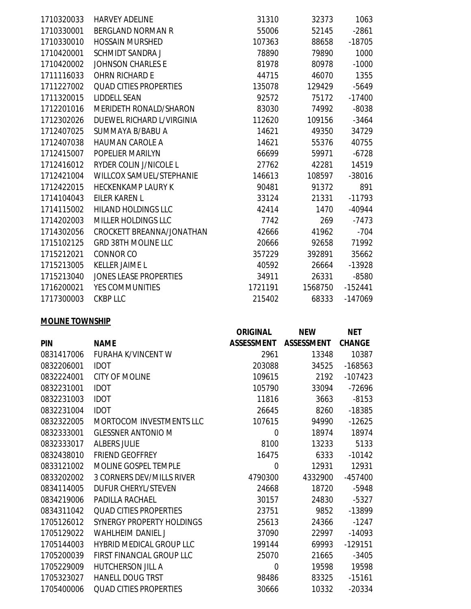| 1710320033 | <b>HARVEY ADELINE</b>           | 31310   | 32373   | 1063      |
|------------|---------------------------------|---------|---------|-----------|
| 1710330001 | <b>BERGLAND NORMAN R</b>        | 55006   | 52145   | $-2861$   |
| 1710330010 | <b>HOSSAIN MURSHED</b>          | 107363  | 88658   | $-18705$  |
| 1710420001 | <b>SCHMIDT SANDRA J</b>         | 78890   | 79890   | 1000      |
| 1710420002 | <b>JOHNSON CHARLES E</b>        | 81978   | 80978   | $-1000$   |
| 1711116033 | OHRN RICHARD E                  | 44715   | 46070   | 1355      |
| 1711227002 | <b>QUAD CITIES PROPERTIES</b>   | 135078  | 129429  | $-5649$   |
| 1711320015 | <b>LIDDELL SEAN</b>             | 92572   | 75172   | $-17400$  |
| 1712201016 | MERIDETH RONALD/SHARON          | 83030   | 74992   | $-8038$   |
| 1712302026 | DUEWEL RICHARD L/VIRGINIA       | 112620  | 109156  | $-3464$   |
| 1712407025 | SUMMAYA B/BABU A                | 14621   | 49350   | 34729     |
| 1712407038 | <b>HAUMAN CAROLE A</b>          | 14621   | 55376   | 40755     |
| 1712415007 | POPELIER MARILYN                | 66699   | 59971   | $-6728$   |
| 1712416012 | <b>RYDER COLIN J/NICOLE L</b>   | 27762   | 42281   | 14519     |
| 1712421004 | <b>WILLCOX SAMUEL/STEPHANIE</b> | 146613  | 108597  | $-38016$  |
| 1712422015 | <b>HECKENKAMP LAURY K</b>       | 90481   | 91372   | 891       |
| 1714104043 | EILER KAREN L                   | 33124   | 21331   | $-11793$  |
| 1714115002 | <b>HILAND HOLDINGS LLC</b>      | 42414   | 1470    | $-40944$  |
| 1714202003 | <b>MILLER HOLDINGS LLC</b>      | 7742    | 269     | $-7473$   |
| 1714302056 | CROCKETT BREANNA/JONATHAN       | 42666   | 41962   | $-704$    |
| 1715102125 | <b>GRD 38TH MOLINE LLC</b>      | 20666   | 92658   | 71992     |
| 1715212021 | <b>CONNOR CO</b>                | 357229  | 392891  | 35662     |
| 1715213005 | <b>KELLER JAIME L</b>           | 40592   | 26664   | $-13928$  |
| 1715213040 | <b>JONES LEASE PROPERTIES</b>   | 34911   | 26331   | $-8580$   |
| 1716200021 | <b>YES COMMUNITIES</b>          | 1721191 | 1568750 | $-152441$ |
| 1717300003 | <b>CKBP LLC</b>                 | 215402  | 68333   | $-147069$ |
|            |                                 |         |         |           |

## **MOLINE TOWNSHIP**

|            |                                 | <b>ORIGINAL</b>   | <b>NEW</b>        | <b>NET</b>    |
|------------|---------------------------------|-------------------|-------------------|---------------|
| <b>PIN</b> | <b>NAME</b>                     | <b>ASSESSMENT</b> | <b>ASSESSMENT</b> | <b>CHANGE</b> |
| 0831417006 | <b>FURAHA K/VINCENT W</b>       | 2961              | 13348             | 10387         |
| 0832206001 | <b>IDOT</b>                     | 203088            | 34525             | $-168563$     |
| 0832224001 | <b>CITY OF MOLINE</b>           | 109615            | 2192              | $-107423$     |
| 0832231001 | <b>IDOT</b>                     | 105790            | 33094             | $-72696$      |
| 0832231003 | <b>IDOT</b>                     | 11816             | 3663              | $-8153$       |
| 0832231004 | <b>IDOT</b>                     | 26645             | 8260              | $-18385$      |
| 0832322005 | <b>MORTOCOM INVESTMENTS LLC</b> | 107615            | 94990             | $-12625$      |
| 0832333001 | <b>GLESSNER ANTONIO M</b>       | 0                 | 18974             | 18974         |
| 0832333017 | <b>ALBERS JULIE</b>             | 8100              | 13233             | 5133          |
| 0832438010 | <b>FRIEND GEOFFREY</b>          | 16475             | 6333              | $-10142$      |
| 0833121002 | MOLINE GOSPEL TEMPLE            | $\overline{0}$    | 12931             | 12931         |
| 0833202002 | 3 CORNERS DEV/MILLS RIVER       | 4790300           | 4332900           | -457400       |
| 0834114005 | <b>DUFUR CHERYL/STEVEN</b>      | 24668             | 18720             | $-5948$       |
| 0834219006 | <b>PADILLA RACHAEL</b>          | 30157             | 24830             | $-5327$       |
| 0834311042 | <b>QUAD CITIES PROPERTIES</b>   | 23751             | 9852              | -13899        |
| 1705126012 | SYNERGY PROPERTY HOLDINGS       | 25613             | 24366             | $-1247$       |
| 1705129022 | <b>WAHLHEIM DANIEL J</b>        | 37090             | 22997             | $-14093$      |
| 1705144003 | <b>HYBRID MEDICAL GROUP LLC</b> | 199144            | 69993             | $-129151$     |
| 1705200039 | FIRST FINANCIAL GROUP LLC       | 25070             | 21665             | $-3405$       |
| 1705229009 | <b>HUTCHERSON JILL A</b>        | 0                 | 19598             | 19598         |
| 1705323027 | <b>HANELL DOUG TRST</b>         | 98486             | 83325             | $-15161$      |
| 1705400006 | <b>QUAD CITIES PROPERTIES</b>   | 30666             | 10332             | $-20334$      |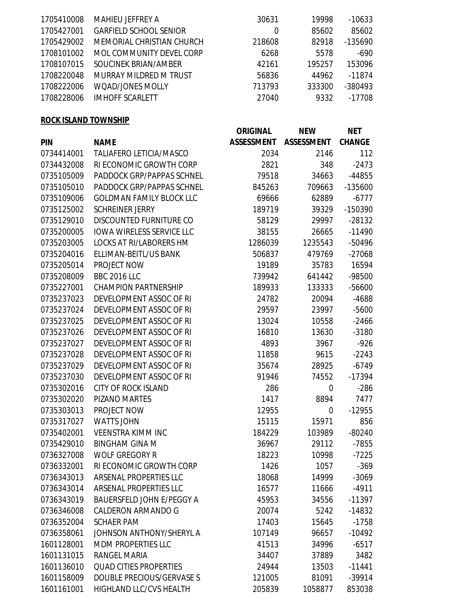| 1705410008 | <b>MAHIEU JEFFREY A</b>       | 30631  | 19998  | $-10633$ |
|------------|-------------------------------|--------|--------|----------|
| 1705427001 | <b>GARFIELD SCHOOL SENIOR</b> | 0      | 85602  | 85602    |
| 1705429002 | MEMORIAL CHRISTIAN CHURCH     | 218608 | 82918  | -135690  |
| 1708101002 | MOL COMMUNITY DEVEL CORP      | 6268   | 5578   | $-690$   |
| 1708107015 | SOUCINEK BRIAN/AMBER          | 42161  | 195257 | 153096   |
| 1708220048 | MURRAY MILDRED M TRUST        | 56836  | 44962  | -11874   |
| 1708222006 | <b>WOAD/JONES MOLLY</b>       | 713793 | 333300 | -380493  |
| 1708228006 | <b>IMHOFF SCARLETT</b>        | 27040  | 9332   | -17708   |
|            |                               |        |        |          |

## **ROCK ISLAND TOWNSHIP**

|            |                                  | <b>ORIGINAL</b>   | <b>NEW</b>        | <b>NET</b>    |
|------------|----------------------------------|-------------------|-------------------|---------------|
| <b>PIN</b> | <b>NAME</b>                      | <b>ASSESSMENT</b> | <b>ASSESSMENT</b> | <b>CHANGE</b> |
| 0734414001 | <b>TALIAFERO LETICIA/MASCO</b>   | 2034              | 2146              | 112           |
| 0734432008 | RI ECONOMIC GROWTH CORP          | 2821              | 348               | $-2473$       |
| 0735105009 | PADDOCK GRP/PAPPAS SCHNEL        | 79518             | 34663             | $-44855$      |
| 0735105010 | PADDOCK GRP/PAPPAS SCHNEL        | 845263            | 709663            | $-135600$     |
| 0735109006 | <b>GOLDMAN FAMILY BLOCK LLC</b>  | 69666             | 62889             | $-6777$       |
| 0735125002 | <b>SCHREINER JERRY</b>           | 189719            | 39329             | -150390       |
| 0735129010 | DISCOUNTED FURNITURE CO          | 58129             | 29997             | $-28132$      |
| 0735200005 | <b>IOWA WIRELESS SERVICE LLC</b> | 38155             | 26665             | $-11490$      |
| 0735203005 | <b>LOCKS AT RI/LABORERS HM</b>   | 1286039           | 1235543           | -50496        |
| 0735204016 | ELLIMAN-BEITL/US BANK            | 506837            | 479769            | $-27068$      |
| 0735205014 | PROJECT NOW                      | 19189             | 35783             | 16594         |
| 0735208009 | <b>BBC 2016 LLC</b>              | 739942            | 641442            | -98500        |
| 0735227001 | <b>CHAMPION PARTNERSHIP</b>      | 189933            | 133333            | $-56600$      |
| 0735237023 | DEVELOPMENT ASSOC OF RI          | 24782             | 20094             | -4688         |
| 0735237024 | DEVELOPMENT ASSOC OF RI          | 29597             | 23997             | $-5600$       |
| 0735237025 | DEVELOPMENT ASSOC OF RI          | 13024             | 10558             | $-2466$       |
| 0735237026 | DEVELOPMENT ASSOC OF RI          | 16810             | 13630             |               |
| 0735237027 | DEVELOPMENT ASSOC OF RI          | 4893              | 3967              |               |
| 0735237028 | DEVELOPMENT ASSOC OF RI          | 11858<br>9615     |                   | $-2243$       |
| 0735237029 | DEVELOPMENT ASSOC OF RI          | 35674             | 28925             | $-6749$       |
| 0735237030 | DEVELOPMENT ASSOC OF RI          | 91946             | 74552             | -17394        |
| 0735302016 | <b>CITY OF ROCK ISLAND</b>       | 286               | $\mathbf 0$       | $-286$        |
| 0735302020 | <b>PIZANO MARTES</b>             | 1417              | 8894              | 7477          |
| 0735303013 | PROJECT NOW                      | 12955             | 0                 | $-12955$      |
| 0735317027 | <b>WATTS JOHN</b>                | 15115             | 15971             | 856           |
| 0735402001 | <b>VEENSTRA KIMM INC</b>         | 184229            | 103989            | $-80240$      |
| 0735429010 | <b>BINGHAM GINA M</b>            | 36967             | 29112             | $-7855$       |
| 0736327008 | <b>WOLF GREGORY R</b>            | 18223             | 10998             | $-7225$       |
| 0736332001 | RI ECONOMIC GROWTH CORP          | 1426              | 1057              | $-369$        |
| 0736343013 | ARSENAL PROPERTIES LLC           | 18068             | 14999             | $-3069$       |
| 0736343014 | <b>ARSENAL PROPERTIES LLC</b>    | 16577             | 11666             | $-4911$       |
| 0736343019 | <b>BAUERSFELD JOHN E/PEGGY A</b> | 45953             | 34556             | $-11397$      |
| 0736346008 | <b>CALDERON ARMANDO G</b>        | 20074             | 5242              | $-14832$      |
| 0736352004 | <b>SCHAER PAM</b>                | 17403             | 15645             | $-1758$       |
| 0736358061 | JOHNSON ANTHONY/SHERYL A         | 107149            | 96657             | $-10492$      |
| 1601128001 | <b>MDM PROPERTIES LLC</b>        | 41513             | 34996             | -6517         |
| 1601131015 | RANGEL MARIA                     | 34407             | 37889             | 3482          |
| 1601136010 | <b>QUAD CITIES PROPERTIES</b>    | 24944             | 13503             | $-11441$      |
| 1601158009 | DOUBLE PRECIOUS/GERVASE S        | 121005            | 81091             | -39914        |
| 1601161001 | <b>HIGHLAND LLC/CVS HEALTH</b>   | 205839            | 1058877           | 853038        |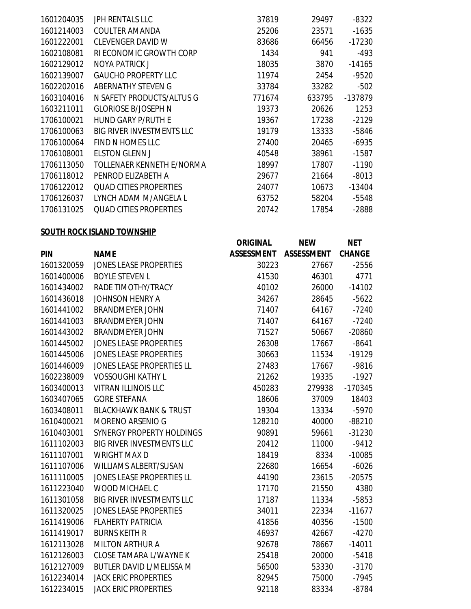| 1601204035 | JPH RENTALS LLC                  | 37819  | 29497  | $-8322$  |
|------------|----------------------------------|--------|--------|----------|
| 1601214003 | <b>COULTER AMANDA</b>            | 25206  | 23571  | $-1635$  |
| 1601222001 | <b>CLEVENGER DAVID W</b>         | 83686  | 66456  | $-17230$ |
| 1602108081 | RI ECONOMIC GROWTH CORP          | 1434   | 941    | $-493$   |
| 1602129012 | NOYA PATRICK J                   | 18035  | 3870   | $-14165$ |
| 1602139007 | <b>GAUCHO PROPERTY LLC</b>       | 11974  | 2454   | $-9520$  |
| 1602202016 | ABERNATHY STEVEN G               | 33784  | 33282  | $-502$   |
| 1603104016 | N SAFETY PRODUCTS/ALTUS G        | 771674 | 633795 | -137879  |
| 1603211011 | <b>GLORIOSE B/JOSEPH N</b>       | 19373  | 20626  | 1253     |
| 1706100021 | HUND GARY P/RUTH E               | 19367  | 17238  | $-2129$  |
| 1706100063 | <b>BIG RIVER INVESTMENTS LLC</b> | 19179  | 13333  | $-5846$  |
| 1706100064 | FIND N HOMES LLC                 | 27400  | 20465  | $-6935$  |
| 1706108001 | <b>ELSTON GLENN J</b>            | 40548  | 38961  | $-1587$  |
| 1706113050 | <b>TOLLENAER KENNETH E/NORMA</b> | 18997  | 17807  | $-1190$  |
| 1706118012 | PENROD ELIZABETH A               | 29677  | 21664  | $-8013$  |
| 1706122012 | <b>QUAD CITIES PROPERTIES</b>    | 24077  | 10673  | -13404   |
| 1706126037 | LYNCH ADAM M/ANGELA L            | 63752  | 58204  | $-5548$  |
| 1706131025 | <b>QUAD CITIES PROPERTIES</b>    | 20742  | 17854  | $-2888$  |

## **SOUTH ROCK ISLAND TOWNSHIP**

|            |                                   | <b>ORIGINAL</b>   | <b>NEW</b>        | <b>NET</b>    |
|------------|-----------------------------------|-------------------|-------------------|---------------|
| <b>PIN</b> | <b>NAME</b>                       | <b>ASSESSMENT</b> | <b>ASSESSMENT</b> | <b>CHANGE</b> |
| 1601320059 | <b>JONES LEASE PROPERTIES</b>     | 30223             | 27667             | $-2556$       |
| 1601400006 | <b>BOYLE STEVEN L</b>             | 41530             | 46301             | 4771          |
| 1601434002 | RADE TIMOTHY/TRACY                | 40102             | 26000             | $-14102$      |
| 1601436018 | <b>JOHNSON HENRY A</b>            | 34267             | 28645             | $-5622$       |
| 1601441002 | <b>BRANDMEYER JOHN</b>            | 71407             | 64167             | $-7240$       |
| 1601441003 | <b>BRANDMEYER JOHN</b>            | 71407             | 64167             | $-7240$       |
| 1601443002 | <b>BRANDMEYER JOHN</b>            | 71527             | 50667             | $-20860$      |
| 1601445002 | <b>JONES LEASE PROPERTIES</b>     | 26308             | 17667             | $-8641$       |
| 1601445006 | <b>JONES LEASE PROPERTIES</b>     | 30663             | 11534             | $-19129$      |
| 1601446009 | JONES LEASE PROPERTIES LL         | 27483             | 17667             | $-9816$       |
| 1602238009 | <b>VOSSOUGHI KATHY L</b>          | 21262             | 19335             | $-1927$       |
| 1603400013 | <b>VITRAN ILLINOIS LLC</b>        | 450283            | 279938            | $-170345$     |
| 1603407065 | <b>GORE STEFANA</b>               | 18606             | 37009             | 18403         |
| 1603408011 | <b>BLACKHAWK BANK &amp; TRUST</b> | 19304             | 13334             | $-5970$       |
| 1610400021 | MORENO ARSENIO G                  | 128210            | 40000             | $-88210$      |
| 1610403001 | SYNERGY PROPERTY HOLDINGS         | 90891             | 59661             | $-31230$      |
| 1611102003 | <b>BIG RIVER INVESTMENTS LLC</b>  | 20412             | 11000             | $-9412$       |
| 1611107001 | <b>WRIGHT MAX D</b>               | 18419             | 8334              | $-10085$      |
| 1611107006 | WILLIAMS ALBERT/SUSAN             | 22680             | 16654             | $-6026$       |
| 1611110005 | JONES LEASE PROPERTIES LL         | 44190             | 23615             | $-20575$      |
| 1611223040 | WOOD MICHAEL C                    | 17170             | 21550             | 4380          |
| 1611301058 | <b>BIG RIVER INVESTMENTS LLC</b>  | 17187             | 11334             | $-5853$       |
| 1611320025 | <b>JONES LEASE PROPERTIES</b>     | 34011             | 22334             | $-11677$      |
| 1611419006 | <b>FLAHERTY PATRICIA</b>          | 41856             | 40356             | $-1500$       |
| 1611419017 | <b>BURNS KEITH R</b>              | 46937             | 42667             | $-4270$       |
| 1612113028 | <b>MILTON ARTHUR A</b>            | 92678             | 78667             | $-14011$      |
| 1612126003 | <b>CLOSE TAMARA L/WAYNE K</b>     | 25418             | 20000             | $-5418$       |
| 1612127009 | <b>BUTLER DAVID L/MELISSA M</b>   | 56500             | 53330             | $-3170$       |
| 1612234014 | <b>JACK ERIC PROPERTIES</b>       | 82945             | 75000             | $-7945$       |
| 1612234015 | <b>JACK ERIC PROPERTIES</b>       | 92118             | 83334             | $-8784$       |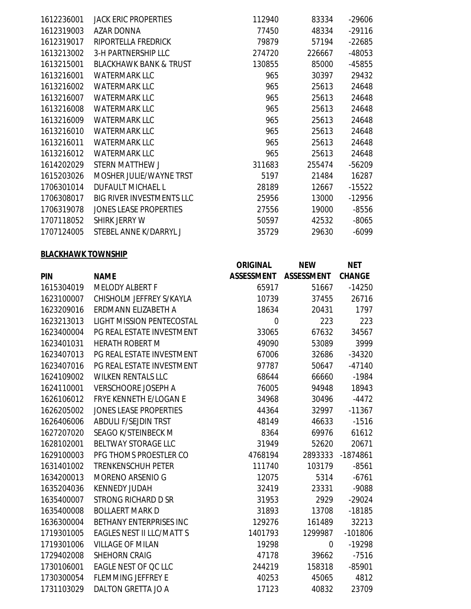| 1612236001 | JACK ERIC PROPERTIES              | 112940 | 83334  | -29606   |
|------------|-----------------------------------|--------|--------|----------|
| 1612319003 | AZAR DONNA                        | 77450  | 48334  | $-29116$ |
| 1612319017 | RIPORTELLA FREDRICK               | 79879  | 57194  | $-22685$ |
| 1613213002 | <b>3-H PARTNERSHIP LLC</b>        | 274720 | 226667 | -48053   |
| 1613215001 | <b>BLACKHAWK BANK &amp; TRUST</b> | 130855 | 85000  | -45855   |
| 1613216001 | <b>WATERMARK LLC</b>              | 965    | 30397  | 29432    |
| 1613216002 | <b>WATERMARK LLC</b>              | 965    | 25613  | 24648    |
| 1613216007 | <b>WATERMARK LLC</b>              | 965    | 25613  | 24648    |
| 1613216008 | <b>WATERMARK LLC</b>              | 965    | 25613  | 24648    |
| 1613216009 | <b>WATERMARK LLC</b>              | 965    | 25613  | 24648    |
| 1613216010 | <b>WATERMARK LLC</b>              | 965    | 25613  | 24648    |
| 1613216011 | <b>WATERMARK LLC</b>              | 965    | 25613  | 24648    |
| 1613216012 | <b>WATERMARK LLC</b>              | 965    | 25613  | 24648    |
| 1614202029 | STERN MATTHEW J                   | 311683 | 255474 | $-56209$ |
| 1615203026 | MOSHER JULIE/WAYNE TRST           | 5197   | 21484  | 16287    |
| 1706301014 | <b>DUFAULT MICHAEL L</b>          | 28189  | 12667  | $-15522$ |
| 1706308017 | <b>BIG RIVER INVESTMENTS LLC</b>  | 25956  | 13000  | $-12956$ |
| 1706319078 | <b>JONES LEASE PROPERTIES</b>     | 27556  | 19000  | $-8556$  |
| 1707118052 | SHIRK JERRY W                     | 50597  | 42532  | $-8065$  |
| 1707124005 | STEBEL ANNE K/DARRYL J            | 35729  | 29630  | $-6099$  |

#### **BLACKHAWK TOWNSHIP**

|            |                                  | <b>ORIGINAL</b>   | <b>NEW</b>        | <b>NET</b>    |
|------------|----------------------------------|-------------------|-------------------|---------------|
| <b>PIN</b> | <b>NAME</b>                      | <b>ASSESSMENT</b> | <b>ASSESSMENT</b> | <b>CHANGE</b> |
| 1615304019 | <b>MELODY ALBERT F</b>           | 65917             | 51667             | $-14250$      |
| 1623100007 | CHISHOLM JEFFREY S/KAYLA         | 10739             | 37455             | 26716         |
| 1623209016 | ERDMANN ELIZABETH A              | 18634             | 20431             | 1797          |
| 1623213013 | <b>LIGHT MISSION PENTECOSTAL</b> | $\mathbf 0$       | 223               | 223           |
| 1623400004 | PG REAL ESTATE INVESTMENT        | 33065             | 67632             | 34567         |
| 1623401031 | <b>HERATH ROBERT M</b>           | 49090             | 53089             | 3999          |
| 1623407013 | PG REAL ESTATE INVESTMENT        | 67006             | 32686             | $-34320$      |
| 1623407016 | PG REAL ESTATE INVESTMENT        | 97787             | 50647             | $-47140$      |
| 1624109002 | <b>WILKEN RENTALS LLC</b>        | 68644             | 66660             | $-1984$       |
| 1624110001 | <b>VERSCHOORE JOSEPH A</b>       | 76005             | 94948             | 18943         |
| 1626106012 | FRYE KENNETH E/LOGAN E           | 34968             | 30496             | $-4472$       |
| 1626205002 | <b>JONES LEASE PROPERTIES</b>    | 44364             | 32997             | $-11367$      |
| 1626406006 | <b>ABDULI F/SEJDIN TRST</b>      | 48149             | 46633             | $-1516$       |
| 1627207020 | SEAGO K/STEINBECK M              | 8364              | 69976             | 61612         |
| 1628102001 | <b>BELTWAY STORAGE LLC</b>       | 31949             | 52620             | 20671         |
| 1629100003 | PFG THOMS PROESTLER CO           | 4768194           | 2893333           | $-1874861$    |
| 1631401002 | <b>TRENKENSCHUH PETER</b>        | 111740            | 103179            | $-8561$       |
| 1634200013 | MORENO ARSENIO G                 | 12075             | 5314              | $-6761$       |
| 1635204036 | <b>KENNEDY JUDAH</b>             | 32419             | 23331             | $-9088$       |
| 1635400007 | <b>STRONG RICHARD D SR</b>       | 31953             | 2929              | $-29024$      |
| 1635400008 | <b>BOLLAERT MARK D</b>           | 31893             | 13708             | $-18185$      |
| 1636300004 | BETHANY ENTERPRISES INC          | 129276            | 161489            | 32213         |
| 1719301005 | <b>EAGLES NEST II LLC/MATT S</b> | 1401793           | 1299987           | $-101806$     |
| 1719301006 | <b>VILLAGE OF MILAN</b>          | 19298             | $\mathbf 0$       | $-19298$      |
| 1729402008 | <b>SHEHORN CRAIG</b>             | 47178             | 39662             | $-7516$       |
| 1730106001 | EAGLE NEST OF QC LLC             | 244219            | 158318            | $-85901$      |
| 1730300054 | <b>FLEMMING JEFFREY E</b>        | 40253             | 45065             | 4812          |
| 1731103029 | DALTON GRETTA JO A               | 17123             | 40832             | 23709         |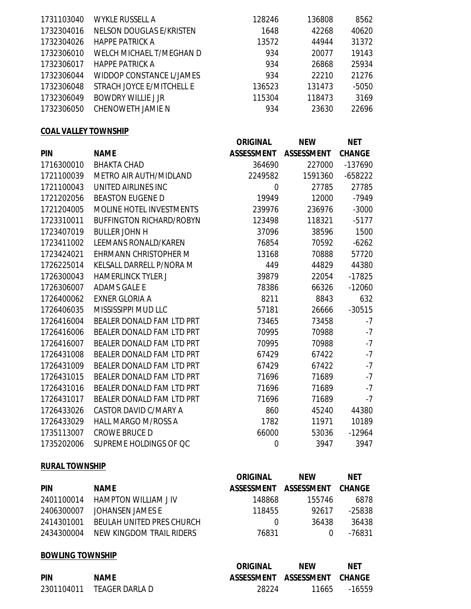|                           |                                                    |        | 8562            |
|---------------------------|----------------------------------------------------|--------|-----------------|
|                           |                                                    |        |                 |
|                           | 1648                                               |        | 40620           |
| <b>HAPPE PATRICK A</b>    | 13572                                              | 44944  | 31372           |
| WELCH MICHAEL T/MEGHAN D  | 934                                                | 20077  | 19143           |
| <b>HAPPE PATRICK A</b>    | 934                                                | 26868  | 25934           |
| WIDDOP CONSTANCE L/JAMES  | 934                                                | 22210  | 21276           |
| STRACH JOYCE E/MITCHELL E | 136523                                             | 131473 | $-5050$         |
| <b>BOWDRY WILLIE J JR</b> | 115304                                             | 118473 | 3169            |
| CHENOWETH JAMIE N         | 934                                                | 23630  | 22696           |
|                           | <b>WYKLE RUSSELL A</b><br>NELSON DOUGLAS E/KRISTEN | 128246 | 136808<br>42268 |

## **COAL VALLEY TOWNSHIP**

|            |                                 | <b>ORIGINAL</b>   | <b>NEW</b>        | <b>NET</b>    |
|------------|---------------------------------|-------------------|-------------------|---------------|
| <b>PIN</b> | <b>NAME</b>                     | <b>ASSESSMENT</b> | <b>ASSESSMENT</b> | <b>CHANGE</b> |
| 1716300010 | <b>BHAKTA CHAD</b>              | 364690            | 227000            | -137690       |
| 1721100039 | METRO AIR AUTH/MIDLAND          | 2249582           | 1591360           | $-658222$     |
| 1721100043 | UNITED AIRLINES INC             | 0                 | 27785             | 27785         |
| 1721202056 | <b>BEASTON EUGENE D</b>         | 19949             | 12000             | $-7949$       |
| 1721204005 | <b>MOLINE HOTEL INVESTMENTS</b> | 239976            | 236976            | $-3000$       |
| 1723310011 | <b>BUFFINGTON RICHARD/ROBYN</b> | 123498            | 118321            | $-5177$       |
| 1723407019 | <b>BULLER JOHN H</b>            | 37096             | 38596             | 1500          |
| 1723411002 | <b>LEEMANS RONALD/KAREN</b>     | 76854             | 70592             | $-6262$       |
| 1723424021 | <b>EHRMANN CHRISTOPHER M</b>    | 13168             | 70888             | 57720         |
| 1726225014 | KELSALL DARRELL P/NORA M        | 449               | 44829             | 44380         |
| 1726300043 | <b>HAMERLINCK TYLER J</b>       | 39879             | 22054             | $-17825$      |
| 1726306007 | <b>ADAMS GALE E</b>             | 78386             | 66326             | $-12060$      |
| 1726400062 | <b>EXNER GLORIA A</b>           | 8211              | 8843              | 632           |
| 1726406035 | MISSISSIPPI MUD LLC             | 57181             | 26666             | $-30515$      |
| 1726416004 | BEALER DONALD FAM LTD PRT       | 73465             | 73458             | $-7$          |
| 1726416006 | BEALER DONALD FAM LTD PRT       | 70995             | 70988             | $-7$          |
| 1726416007 | BEALER DONALD FAM LTD PRT       | 70995             | 70988             | $-7$          |
| 1726431008 | BEALER DONALD FAM LTD PRT       | 67429             | 67422             | $-7$          |
| 1726431009 | BEALER DONALD FAM LTD PRT       | 67429             | 67422             | $-7$          |
| 1726431015 | BEALER DONALD FAM LTD PRT       | 71696             | 71689             | $-7$          |
| 1726431016 | BEALER DONALD FAM LTD PRT       | 71696             | 71689             | $-7$          |
| 1726431017 | BEALER DONALD FAM LTD PRT       | 71696             | 71689             | $-7$          |
| 1726433026 | <b>CASTOR DAVID C/MARY A</b>    | 860               | 45240             | 44380         |
| 1726433029 | <b>HALL MARGO M/ROSS A</b>      | 1782              | 11971             | 10189         |
| 1735113007 | <b>CROWE BRUCE D</b>            | 66000             | 53036             | $-12964$      |
| 1735202006 | SUPREME HOLDINGS OF QC          | 0                 | 3947              | 3947          |

# **RURAL TOWNSHIP**

|            |                           | ORIGINAL          | <b>NFW</b>        | <b>NET</b> |
|------------|---------------------------|-------------------|-------------------|------------|
| <b>PIN</b> | <b>NAME</b>               | <b>ASSESSMENT</b> | <b>ASSESSMENT</b> | CHANGE     |
| 2401100014 | HAMPTON WILLIAM J IV      | 148868            | 155746            | 6878       |
| 2406300007 | JOHANSEN JAMES F          | 118455            | 92617             | -25838     |
| 2414301001 | BEULAH UNITED PRES CHURCH | $\left( \right)$  | 36438             | 36438      |
| 2434300004 | NEW KINGDOM TRAIL RIDERS  | 76831             |                   | -76831     |

# **BOWLING TOWNSHIP**

|            |                           | <b>ORIGINAL</b> | <b>NFW</b>                   | <b>NET</b> |
|------------|---------------------------|-----------------|------------------------------|------------|
| <b>PIN</b> | <b>NAME</b>               |                 | ASSESSMENT ASSESSMENT CHANGE |            |
|            | 2301104011 TEAGER DARLA D | 28224           | 11665                        | -16559     |